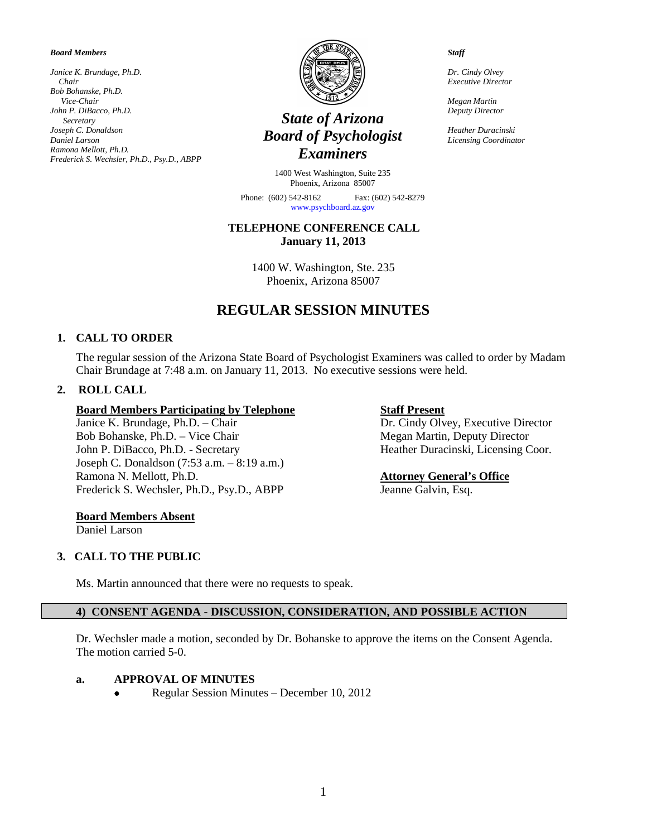#### *Board Members*

*Janice K. Brundage, Ph.D. Chair Bob Bohanske, Ph.D. Vice-Chair John P. DiBacco, Ph.D. Secretary Joseph C. Donaldson Daniel Larson Ramona Mellott, Ph.D. Frederick S. Wechsler, Ph.D., Psy.D., ABPP*



## *State of Arizona Board of Psychologist Examiners*

1400 West Washington, Suite 235 Phoenix, Arizona 85007

Phone: (602) 542-8162 Fax: (602) 542-8279 [www.psychboard.az.gov](http://www.psychboard.az.gov/)

#### **TELEPHONE CONFERENCE CALL January 11, 2013**

1400 W. Washington, Ste. 235 Phoenix, Arizona 85007

# **REGULAR SESSION MINUTES**

#### **1. CALL TO ORDER**

The regular session of the Arizona State Board of Psychologist Examiners was called to order by Madam Chair Brundage at 7:48 a.m. on January 11, 2013. No executive sessions were held.

#### **2. ROLL CALL**

# **Board Members Participating by Telephone**<br>
Janice K. Brundage, Ph.D. – Chair **Dr. Cindy Oly**

Bob Bohanske, Ph.D. – Vice Chair Megan Martin, Deputy Director John P. DiBacco, Ph.D. - Secretary Heather Duracinski, Licensing Coor. Joseph C. Donaldson (7:53 a.m. – 8:19 a.m.) Ramona N. Mellott, Ph.D. **Attorney General's Office** Frederick S. Wechsler, Ph.D., Psy.D., ABPP Jeanne Galvin, Esq.

Dr. Cindy Olvey, Executive Director

#### **Board Members Absent**

Daniel Larson

#### **3. CALL TO THE PUBLIC**

Ms. Martin announced that there were no requests to speak.

### **4) CONSENT AGENDA - DISCUSSION, CONSIDERATION, AND POSSIBLE ACTION**

Dr. Wechsler made a motion, seconded by Dr. Bohanske to approve the items on the Consent Agenda. The motion carried 5-0.

### **a. APPROVAL OF MINUTES**

• Regular Session Minutes – December 10, 2012

*Staff*

*Dr. Cindy Olvey Executive Director*

*Megan Martin Deputy Director*

*Heather Duracinski Licensing Coordinator*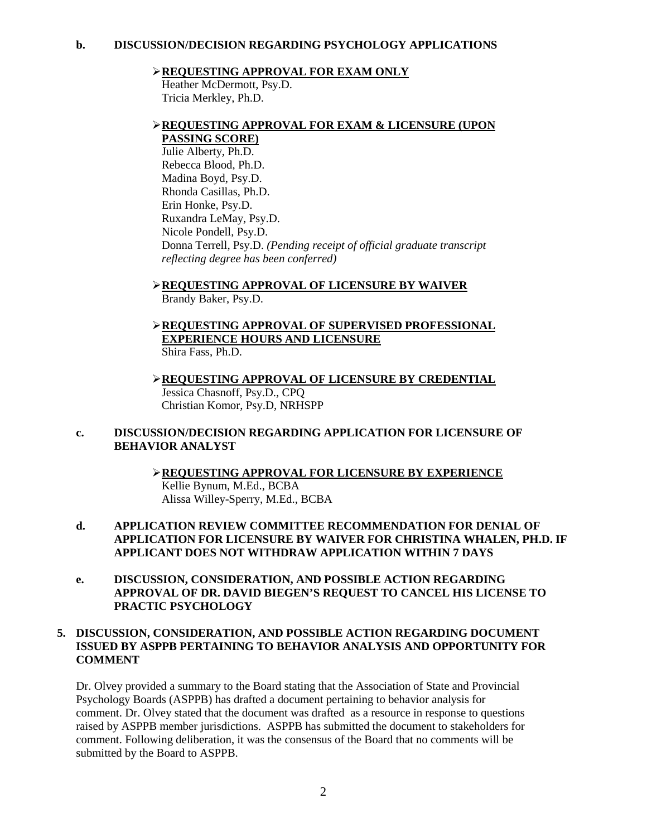#### **REQUESTING APPROVAL FOR EXAM ONLY**

Heather McDermott, Psy.D. Tricia Merkley, Ph.D.

#### **REQUESTING APPROVAL FOR EXAM & LICENSURE (UPON**

**PASSING SCORE)**  Julie Alberty, Ph.D. Rebecca Blood, Ph.D. Madina Boyd, Psy.D. Rhonda Casillas, Ph.D. Erin Honke, Psy.D. Ruxandra LeMay, Psy.D. Nicole Pondell, Psy.D. Donna Terrell, Psy.D. *(Pending receipt of official graduate transcript reflecting degree has been conferred)*

**REQUESTING APPROVAL OF LICENSURE BY WAIVER**  Brandy Baker, Psy.D.

- **REQUESTING APPROVAL OF SUPERVISED PROFESSIONAL EXPERIENCE HOURS AND LICENSURE** Shira Fass, Ph.D.
- **REQUESTING APPROVAL OF LICENSURE BY CREDENTIAL** Jessica Chasnoff, Psy.D., CPQ Christian Komor, Psy.D, NRHSPP

#### **c. DISCUSSION/DECISION REGARDING APPLICATION FOR LICENSURE OF BEHAVIOR ANALYST**

**REQUESTING APPROVAL FOR LICENSURE BY EXPERIENCE** Kellie Bynum, M.Ed., BCBA Alissa Willey-Sperry, M.Ed., BCBA

#### **d. APPLICATION REVIEW COMMITTEE RECOMMENDATION FOR DENIAL OF APPLICATION FOR LICENSURE BY WAIVER FOR CHRISTINA WHALEN, PH.D. IF APPLICANT DOES NOT WITHDRAW APPLICATION WITHIN 7 DAYS**

**e. DISCUSSION, CONSIDERATION, AND POSSIBLE ACTION REGARDING APPROVAL OF DR. DAVID BIEGEN'S REQUEST TO CANCEL HIS LICENSE TO PRACTIC PSYCHOLOGY**

#### **5. DISCUSSION, CONSIDERATION, AND POSSIBLE ACTION REGARDING DOCUMENT ISSUED BY ASPPB PERTAINING TO BEHAVIOR ANALYSIS AND OPPORTUNITY FOR COMMENT**

Dr. Olvey provided a summary to the Board stating that the Association of State and Provincial Psychology Boards (ASPPB) has drafted a document pertaining to behavior analysis for comment. Dr. Olvey stated that the document was drafted as a resource in response to questions raised by ASPPB member jurisdictions. ASPPB has submitted the document to stakeholders for comment. Following deliberation, it was the consensus of the Board that no comments will be submitted by the Board to ASPPB.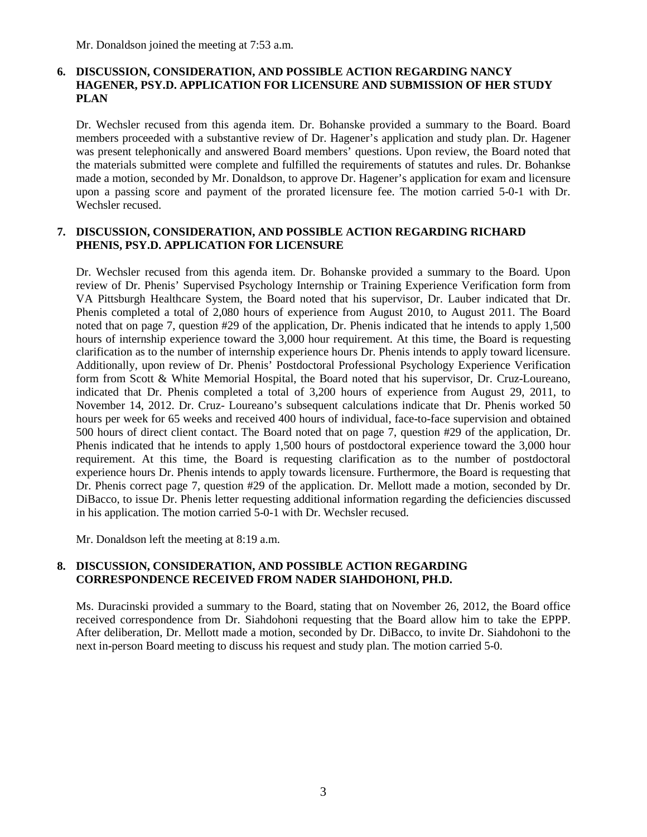Mr. Donaldson joined the meeting at 7:53 a.m.

#### **6. DISCUSSION, CONSIDERATION, AND POSSIBLE ACTION REGARDING NANCY HAGENER, PSY.D. APPLICATION FOR LICENSURE AND SUBMISSION OF HER STUDY PLAN**

Dr. Wechsler recused from this agenda item. Dr. Bohanske provided a summary to the Board. Board members proceeded with a substantive review of Dr. Hagener's application and study plan. Dr. Hagener was present telephonically and answered Board members' questions. Upon review, the Board noted that the materials submitted were complete and fulfilled the requirements of statutes and rules. Dr. Bohankse made a motion, seconded by Mr. Donaldson, to approve Dr. Hagener's application for exam and licensure upon a passing score and payment of the prorated licensure fee. The motion carried 5-0-1 with Dr. Wechsler recused.

#### **7. DISCUSSION, CONSIDERATION, AND POSSIBLE ACTION REGARDING RICHARD PHENIS, PSY.D. APPLICATION FOR LICENSURE**

Dr. Wechsler recused from this agenda item. Dr. Bohanske provided a summary to the Board. Upon review of Dr. Phenis' Supervised Psychology Internship or Training Experience Verification form from VA Pittsburgh Healthcare System, the Board noted that his supervisor, Dr. Lauber indicated that Dr. Phenis completed a total of 2,080 hours of experience from August 2010, to August 2011. The Board noted that on page 7, question #29 of the application, Dr. Phenis indicated that he intends to apply 1,500 hours of internship experience toward the 3,000 hour requirement. At this time, the Board is requesting clarification as to the number of internship experience hours Dr. Phenis intends to apply toward licensure. Additionally, upon review of Dr. Phenis' Postdoctoral Professional Psychology Experience Verification form from Scott & White Memorial Hospital, the Board noted that his supervisor, Dr. Cruz-Loureano, indicated that Dr. Phenis completed a total of 3,200 hours of experience from August 29, 2011, to November 14, 2012. Dr. Cruz- Loureano's subsequent calculations indicate that Dr. Phenis worked 50 hours per week for 65 weeks and received 400 hours of individual, face-to-face supervision and obtained 500 hours of direct client contact. The Board noted that on page 7, question #29 of the application, Dr. Phenis indicated that he intends to apply 1,500 hours of postdoctoral experience toward the 3,000 hour requirement. At this time, the Board is requesting clarification as to the number of postdoctoral experience hours Dr. Phenis intends to apply towards licensure. Furthermore, the Board is requesting that Dr. Phenis correct page 7, question #29 of the application. Dr. Mellott made a motion, seconded by Dr. DiBacco, to issue Dr. Phenis letter requesting additional information regarding the deficiencies discussed in his application. The motion carried 5-0-1 with Dr. Wechsler recused.

Mr. Donaldson left the meeting at 8:19 a.m.

#### **8. DISCUSSION, CONSIDERATION, AND POSSIBLE ACTION REGARDING CORRESPONDENCE RECEIVED FROM NADER SIAHDOHONI, PH.D.**

Ms. Duracinski provided a summary to the Board, stating that on November 26, 2012, the Board office received correspondence from Dr. Siahdohoni requesting that the Board allow him to take the EPPP. After deliberation, Dr. Mellott made a motion, seconded by Dr. DiBacco, to invite Dr. Siahdohoni to the next in-person Board meeting to discuss his request and study plan. The motion carried 5-0.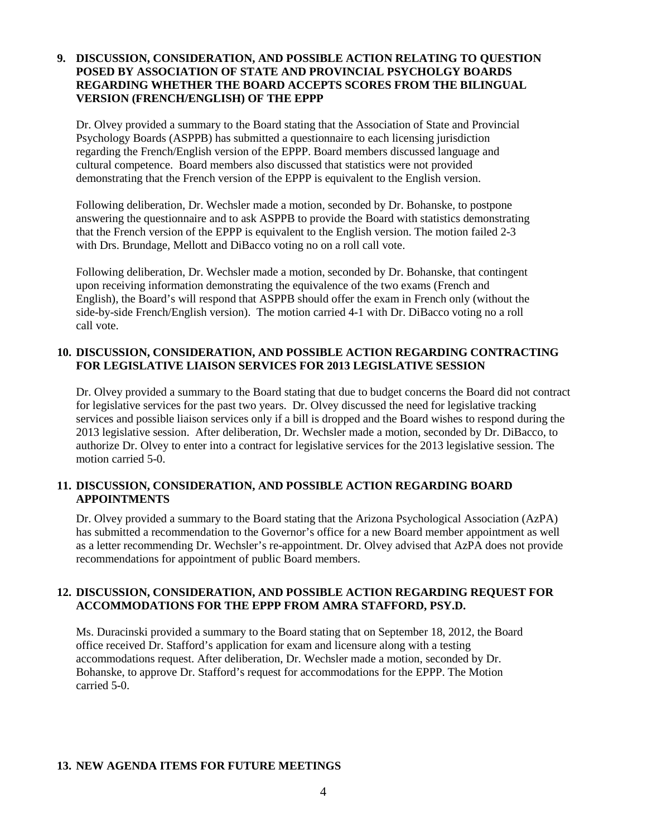#### **9. DISCUSSION, CONSIDERATION, AND POSSIBLE ACTION RELATING TO QUESTION POSED BY ASSOCIATION OF STATE AND PROVINCIAL PSYCHOLGY BOARDS REGARDING WHETHER THE BOARD ACCEPTS SCORES FROM THE BILINGUAL VERSION (FRENCH/ENGLISH) OF THE EPPP**

Dr. Olvey provided a summary to the Board stating that the Association of State and Provincial Psychology Boards (ASPPB) has submitted a questionnaire to each licensing jurisdiction regarding the French/English version of the EPPP. Board members discussed language and cultural competence. Board members also discussed that statistics were not provided demonstrating that the French version of the EPPP is equivalent to the English version.

Following deliberation, Dr. Wechsler made a motion, seconded by Dr. Bohanske, to postpone answering the questionnaire and to ask ASPPB to provide the Board with statistics demonstrating that the French version of the EPPP is equivalent to the English version. The motion failed 2-3 with Drs. Brundage, Mellott and DiBacco voting no on a roll call vote.

Following deliberation, Dr. Wechsler made a motion, seconded by Dr. Bohanske, that contingent upon receiving information demonstrating the equivalence of the two exams (French and English), the Board's will respond that ASPPB should offer the exam in French only (without the side-by-side French/English version). The motion carried 4-1 with Dr. DiBacco voting no a roll call vote.

#### **10. DISCUSSION, CONSIDERATION, AND POSSIBLE ACTION REGARDING CONTRACTING FOR LEGISLATIVE LIAISON SERVICES FOR 2013 LEGISLATIVE SESSION**

Dr. Olvey provided a summary to the Board stating that due to budget concerns the Board did not contract for legislative services for the past two years. Dr. Olvey discussed the need for legislative tracking services and possible liaison services only if a bill is dropped and the Board wishes to respond during the 2013 legislative session. After deliberation, Dr. Wechsler made a motion, seconded by Dr. DiBacco, to authorize Dr. Olvey to enter into a contract for legislative services for the 2013 legislative session. The motion carried 5-0.

#### **11. DISCUSSION, CONSIDERATION, AND POSSIBLE ACTION REGARDING BOARD APPOINTMENTS**

Dr. Olvey provided a summary to the Board stating that the Arizona Psychological Association (AzPA) has submitted a recommendation to the Governor's office for a new Board member appointment as well as a letter recommending Dr. Wechsler's re-appointment. Dr. Olvey advised that AzPA does not provide recommendations for appointment of public Board members.

#### **12. DISCUSSION, CONSIDERATION, AND POSSIBLE ACTION REGARDING REQUEST FOR ACCOMMODATIONS FOR THE EPPP FROM AMRA STAFFORD, PSY.D.**

Ms. Duracinski provided a summary to the Board stating that on September 18, 2012, the Board office received Dr. Stafford's application for exam and licensure along with a testing accommodations request. After deliberation, Dr. Wechsler made a motion, seconded by Dr. Bohanske, to approve Dr. Stafford's request for accommodations for the EPPP. The Motion carried 5-0.

#### **13. NEW AGENDA ITEMS FOR FUTURE MEETINGS**